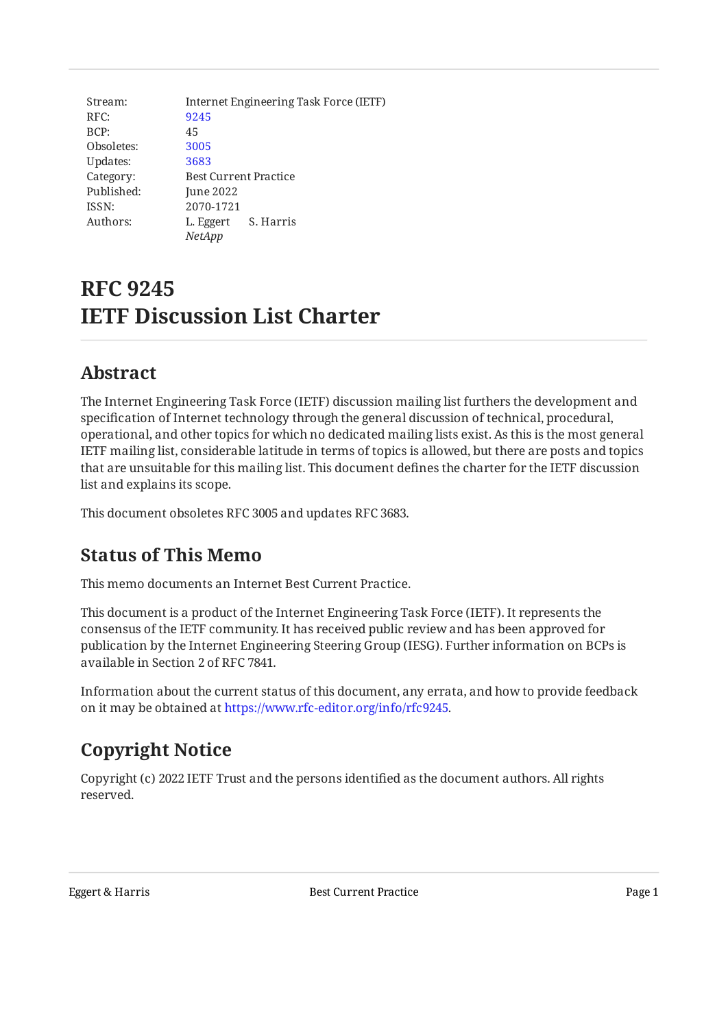Stream: RFC: BCP: Obsoletes: Updates: Category: Published: ISSN: Authors: Internet Engineering Task Force (IETF) [9245](https://www.rfc-editor.org/rfc/rfc9245) 45 [3005](https://www.rfc-editor.org/rfc/rfc3005) [3683](https://www.rfc-editor.org/rfc/rfc3683) Best Current Practice June 2022 2070-1721 L. Eggert S. Harris *NetApp*

# **RFC 9245 IETF Discussion List Charter**

#### <span id="page-0-0"></span>**[Abstract](#page-0-0)**

The Internet Engineering Task Force (IETF) discussion mailing list furthers the development and specification of Internet technology through the general discussion of technical, procedural, operational, and other topics for which no dedicated mailing lists exist. As this is the most general IETF mailing list, considerable latitude in terms of topics is allowed, but there are posts and topics that are unsuitable for this mailing list. This document defines the charter for the IETF discussion list and explains its scope.

<span id="page-0-1"></span>This document obsoletes RFC 3005 and updates RFC 3683.

### **[Status of This Memo](#page-0-1)**

This memo documents an Internet Best Current Practice.

This document is a product of the Internet Engineering Task Force (IETF). It represents the consensus of the IETF community. It has received public review and has been approved for publication by the Internet Engineering Steering Group (IESG). Further information on BCPs is available in Section 2 of RFC 7841.

Information about the current status of this document, any errata, and how to provide feedback on it may be obtained at [https://www.rfc-editor.org/info/rfc9245.](https://www.rfc-editor.org/info/rfc9245)

## <span id="page-0-2"></span>**[Copyright Notice](#page-0-2)**

Copyright (c) 2022 IETF Trust and the persons identified as the document authors. All rights reserved.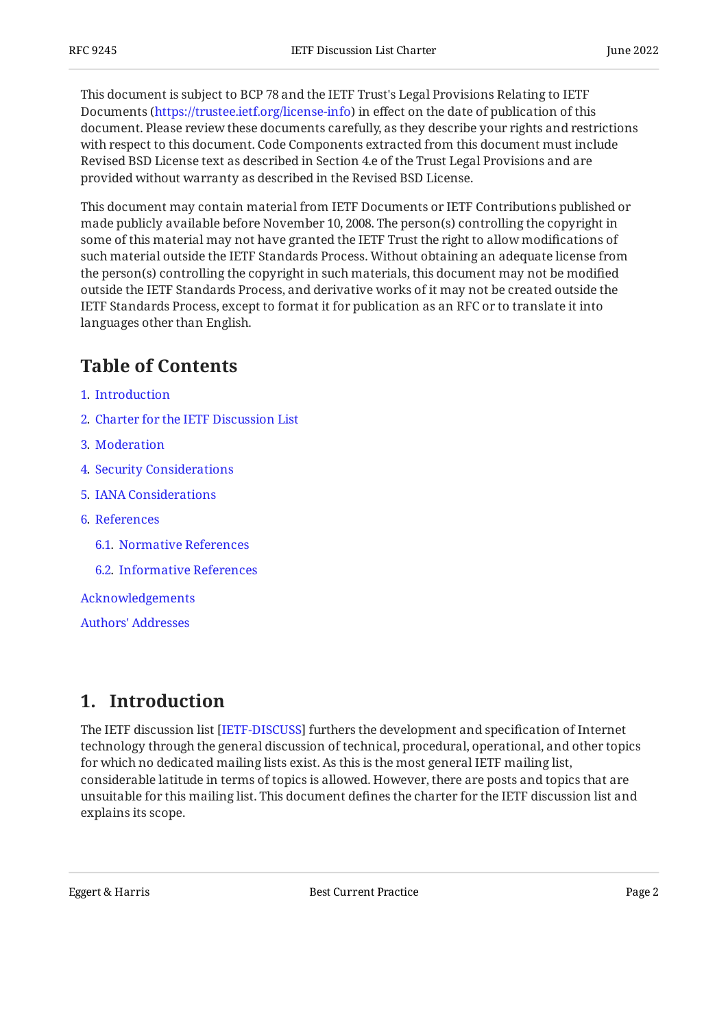This document is subject to BCP 78 and the IETF Trust's Legal Provisions Relating to IETF Documents (<https://trustee.ietf.org/license-info>) in effect on the date of publication of this document. Please review these documents carefully, as they describe your rights and restrictions with respect to this document. Code Components extracted from this document must include Revised BSD License text as described in Section 4.e of the Trust Legal Provisions and are provided without warranty as described in the Revised BSD License.

This document may contain material from IETF Documents or IETF Contributions published or made publicly available before November 10, 2008. The person(s) controlling the copyright in some of this material may not have granted the IETF Trust the right to allow modifications of such material outside the IETF Standards Process. Without obtaining an adequate license from the person(s) controlling the copyright in such materials, this document may not be modified outside the IETF Standards Process, and derivative works of it may not be created outside the IETF Standards Process, except to format it for publication as an RFC or to translate it into languages other than English.

### <span id="page-1-0"></span>**[Table of Contents](#page-1-0)**

- [1](#page-1-1). [Introduction](#page-1-1)
- [2](#page-2-0). [Charter for the IETF Discussion List](#page-2-0)
- [3](#page-3-0). [Moderation](#page-3-0)
- [4](#page-3-1). [Security Considerations](#page-3-1)
- [5](#page-3-2). [IANA Considerations](#page-3-2)
- [6](#page-4-0). [References](#page-4-0)
	- [6.1.](#page-4-1) [Normative References](#page-4-1)
	- [6.2.](#page-4-2) [Informative References](#page-4-2)
- [Acknowledgements](#page-5-0)
- [Authors' Addresses](#page-6-0)

#### <span id="page-1-1"></span>**[1. Introduction](#page-1-1)**

The IETF discussion list [IETF-DISCUSS] furthers the development and specification of Internet technology through the general discussion of technical, procedural, operational, and other topics for which no dedicated mailing lists exist. As this is the most general IETF mailing list, considerable latitude in terms of topics is allowed. However, there are posts and topics that are unsuitable for this mailing list. This document defines the charter for the IETF discussion list and explains its scope.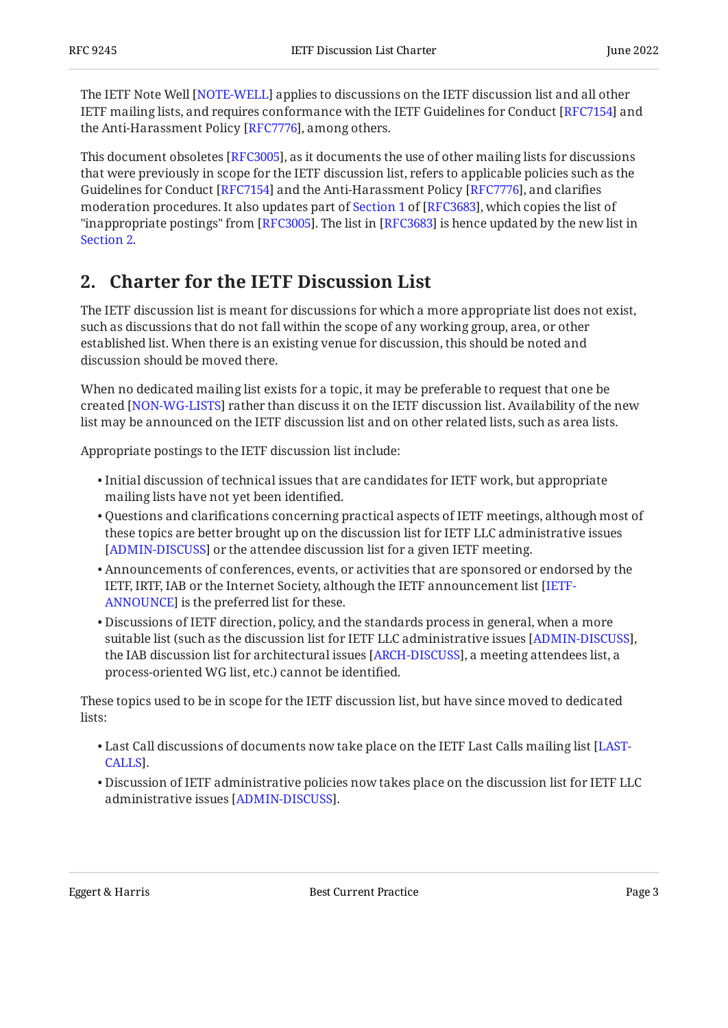The IETF Note Well [NOTE-WELL] applies to discussions on the IETF discussion list and all other IETF mailing lists, and requires conformance with the IETF Guidelines for Conduct [RFC7154] and the Anti-Harassment Policy [RFC7776], among others.

This document obsoletes [RFC3005], as it documents the use of other mailing lists for discussions that were previously in scope for the IETF discussion list, refers to applicable policies such as the Guidelines for Conduct [RFC7154] and the Anti-Harassment Policy [RFC7776], and clarifies moderationprocedures. It also updates part of Section 1 of [RFC3683], which copies the list of "inappropriate postings" from [RFC3005]. The list in [RFC3683] is hence updated by the new list in  $\,$ [Section 2.](#page-2-0)

### <span id="page-2-0"></span>**[2. Charter for the IETF Discussion List](#page-2-0)**

The IETF discussion list is meant for discussions for which a more appropriate list does not exist, such as discussions that do not fall within the scope of any working group, area, or other established list. When there is an existing venue for discussion, this should be noted and discussion should be moved there.

When no dedicated mailing list exists for a topic, it may be preferable to request that one be created [[NON-WG-LISTS\]](#page-4-6) rather than discuss it on the IETF discussion list. Availability of the new list may be announced on the IETF discussion list and on other related lists, such as area lists.

Appropriate postings to the IETF discussion list include:

- $\bullet$  Initial discussion of technical issues that are candidates for IETF work, but appropriate mailing lists have not yet been identified.
- $\bullet$  Questions and clarifications concerning practical aspects of IETF meetings, although most of these topics are better brought up on the discussion list for IETF LLC administrative issues [[ADMIN-DISCUSS\]](#page-4-7) or the attendee discussion list for a given IETF meeting.
- Announcements of conferences, events, or activities that are sponsored or endorsed by the IETF, IRTF, IAB or the Internet Society, although the IETF announcement list [[IETF-](#page-4-8)[ANNOUNCE](#page-4-8)] is the preferred list for these.
- $\bullet$  Discussions of IETF direction, policy, and the standards process in general, when a more suitable list (such as the discussion list for IETF LLC administrative issues [ADMIN-DISCUSS], the IAB discussion list for architectural issues [ARCH-DISCUSS], a meeting attendees list, a process-oriented WG list, etc.) cannot be identified.

These topics used to be in scope for the IETF discussion list, but have since moved to dedicated lists:

- $\bullet$  Last Call discussions of documents now take place on the IETF Last Calls mailing list [\[LAST-](#page-4-10). [CALLS\]](#page-4-10)
- $\bullet$  Discussion of IETF administrative policies now takes place on the discussion list for IETF LLC administrative issues [\[ADMIN-DISCUSS\]](#page-4-7).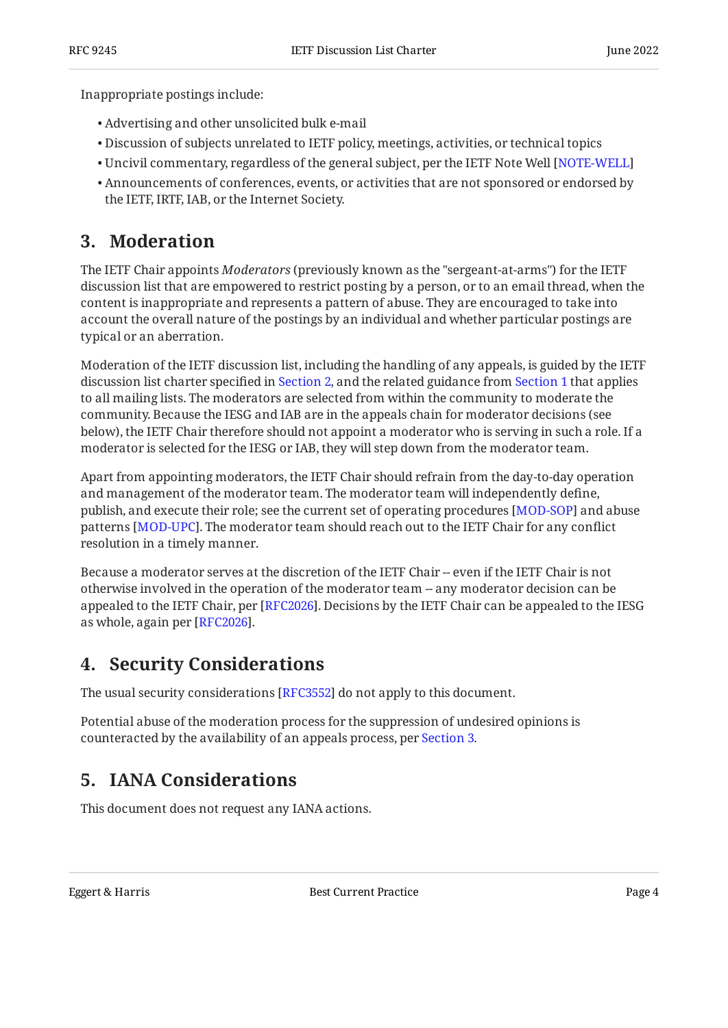Inappropriate postings include:

- Advertising and other unsolicited bulk e-mail •
- Discussion of subjects unrelated to IETF policy, meetings, activities, or technical topics •
- $\bullet$  Uncivil commentary, regardless of the general subject, per the IETF Note Well [\[NOTE-WELL](#page-4-4)]
- Announcements of conferences, events, or activities that are not sponsored or endorsed by the IETF, IRTF, IAB, or the Internet Society.

#### <span id="page-3-0"></span>**[3. Moderation](#page-3-0)**

The IETF Chair appoints *Moderators* (previously known as the "sergeant-at-arms") for the IETF discussion list that are empowered to restrict posting by a person, or to an email thread, when the content is inappropriate and represents a pattern of abuse. They are encouraged to take into account the overall nature of the postings by an individual and whether particular postings are typical or an aberration.

Moderation of the IETF discussion list, including the handling of any appeals, is guided by the IETF discussion list charter specified in [Section 2,](#page-2-0) and the related guidance from [Section 1](#page-1-1) that applies to all mailing lists. The moderators are selected from within the community to moderate the community. Because the IESG and IAB are in the appeals chain for moderator decisions (see below), the IETF Chair therefore should not appoint a moderator who is serving in such a role. If a moderator is selected for the IESG or IAB, they will step down from the moderator team.

Apart from appointing moderators, the IETF Chair should refrain from the day-to-day operation and management of the moderator team. The moderator team will independently define, publish, and execute their role; see the current set of operating procedures [\[MOD-SOP](#page-4-11)] and abuse patterns [MOD-UPC]. The moderator team should reach out to the IETF Chair for any conflict resolution in a timely manner.

Because a moderator serves at the discretion of the IETF Chair -- even if the IETF Chair is not otherwise involved in the operation of the moderator team -- any moderator decision can be appealed to the IETF Chair, per [[RFC2026\]](#page-4-13). Decisions by the IETF Chair can be appealed to the IESG as whole, again per [[RFC2026\]](#page-4-13).

#### <span id="page-3-1"></span>**[4. Security Considerations](#page-3-1)**

The usual security considerations [[RFC3552\]](#page-4-14) do not apply to this document.

Potential abuse of the moderation process for the suppression of undesired opinions is counteracted by the availability of an appeals process, per [Section 3.](#page-3-0)

#### <span id="page-3-2"></span>**[5. IANA Considerations](#page-3-2)**

This document does not request any IANA actions.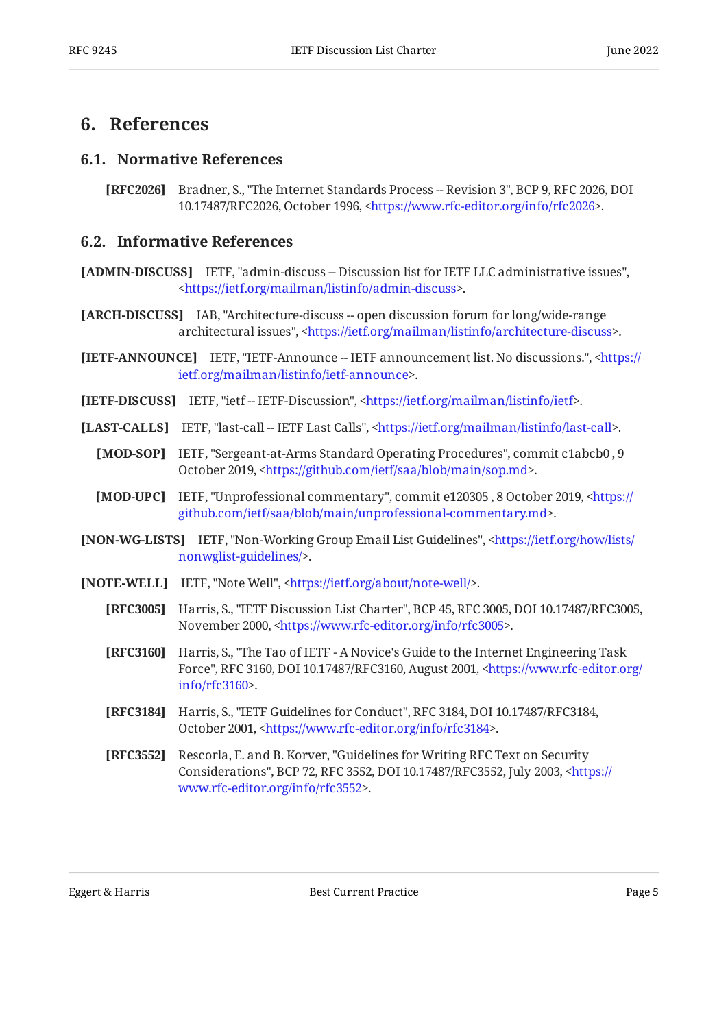#### <span id="page-4-1"></span><span id="page-4-0"></span>**[6. References](#page-4-0)**

#### **[6.1. Normative References](#page-4-1)**

<span id="page-4-13"></span>**[RFC2026]** Bradner, S., "The Internet Standards Process -- Revision 3", BCP 9, RFC 2026, DOI 10.17487/RFC2026, October 1996, [<https://www.rfc-editor.org/info/rfc2026](https://www.rfc-editor.org/info/rfc2026)>.

#### <span id="page-4-2"></span>**[6.2. Informative References](#page-4-2)**

- <span id="page-4-7"></span>**[ADMIN-DISCUSS]** IETF, "admin-discuss -- Discussion list for IETF LLC administrative issues", . [<https://ietf.org/mailman/listinfo/admin-discuss](https://ietf.org/mailman/listinfo/admin-discuss)>
- <span id="page-4-9"></span>**[ARCH-DISCUSS]** IAB, "Architecture-discuss -- open discussion forum for long/wide-range architectural issues", <https://ietf.org/mailman/listinfo/architecture-discuss>.

<span id="page-4-8"></span>**[IETF-ANNOUNCE]** IETF, "IETF-Announce -- IETF announcement list. No discussions.", [<https://](https://ietf.org/mailman/listinfo/ietf-announce) . [ietf.org/mailman/listinfo/ietf-announce](https://ietf.org/mailman/listinfo/ietf-announce)>

- <span id="page-4-3"></span>**[IETF-DISCUSS]** IETF, "ietf-IETF-Discussion", <https://ietf.org/mailman/listinfo/ietf>.
- <span id="page-4-11"></span><span id="page-4-10"></span>**[LAST-CALLS]** IETF, "last-call -- IETF Last Calls", <https://ietf.org/mailman/listinfo/last-call>.
	- **[MOD-SOP]** IETF, "Sergeant-at-Arms Standard Operating Procedures", commit c1abcb0, 9 October 2019, <https://github.com/ietf/saa/blob/main/sop.md>.
	- **[MOD-UPC]** IETF, "Unprofessional commentary", commit e120305, 8 October 2019, [<https://](https://github.com/ietf/saa/blob/main/unprofessional-commentary.md) . [github.com/ietf/saa/blob/main/unprofessional-commentary.md>](https://github.com/ietf/saa/blob/main/unprofessional-commentary.md)
- <span id="page-4-12"></span><span id="page-4-6"></span>**[NON-WG-LISTS]** IETF, "Non-Working Group Email List Guidelines", [<https://ietf.org/how/lists/](https://ietf.org/how/lists/nonwglist-guidelines/) . [nonwglist-guidelines/](https://ietf.org/how/lists/nonwglist-guidelines/)>
- <span id="page-4-16"></span><span id="page-4-15"></span><span id="page-4-5"></span><span id="page-4-4"></span>**[NOTE-WELL]** IETF, "Note Well", [<https://ietf.org/about/note-well/>](https://ietf.org/about/note-well/).
	- **[RFC3005]** Harris, S., "IETF Discussion List Charter", BCP 45, RFC 3005, DOI 10.17487/RFC3005, November 2000, <https://www.rfc-editor.org/info/rfc3005>.
	- **[RFC3160]** , Harris, S. "The Tao of IETF A Novice's Guide to the Internet Engineering Task Force", RFC 3160, DOI 10.17487/RFC3160, August 2001, [<https://www.rfc-editor.org/](https://www.rfc-editor.org/info/rfc3160) . [info/rfc3160>](https://www.rfc-editor.org/info/rfc3160)
	- **[RFC3184]** Harris, S., "IETF Guidelines for Conduct", RFC 3184, DOI 10.17487/RFC3184, October 2001, [<https://www.rfc-editor.org/info/rfc3184](https://www.rfc-editor.org/info/rfc3184)>.
	- **[RFC3552]** Rescorla, E. and B. Korver, "Guidelines for Writing RFC Text on Security Considerations", BCP 72, RFC 3552, DOI 10.17487/RFC3552, July 2003, <[https://](https://www.rfc-editor.org/info/rfc3552) . [www.rfc-editor.org/info/rfc3552>](https://www.rfc-editor.org/info/rfc3552)

<span id="page-4-14"></span>Eggert & Harris **Best Current Practice** Page 5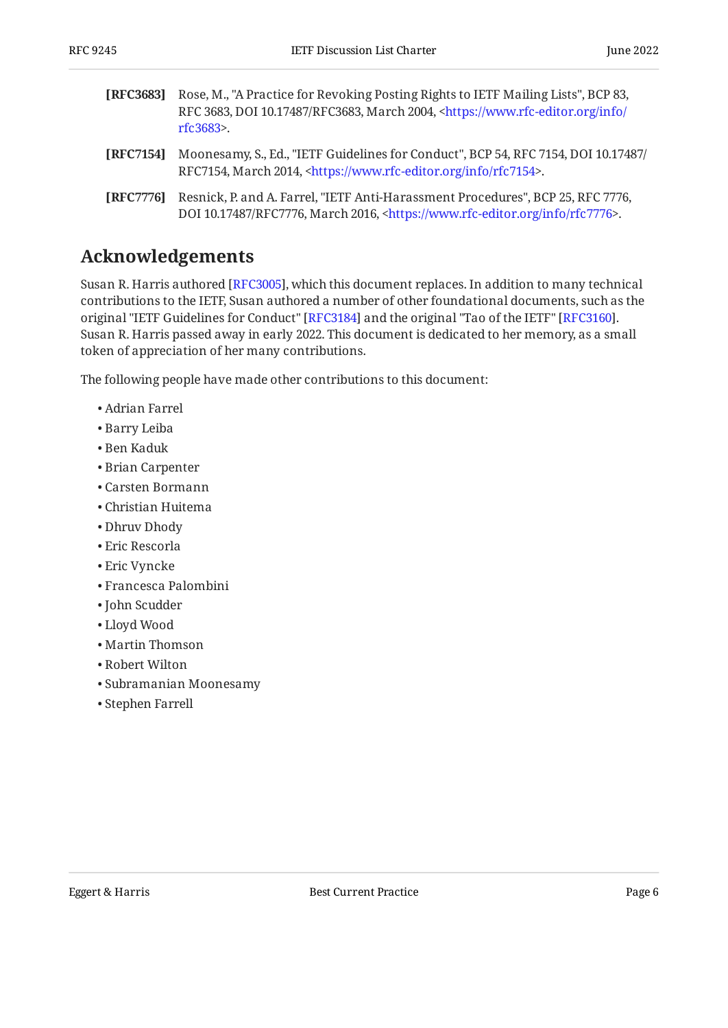- <span id="page-5-3"></span>**[RFC3683]** Rose, M., "A Practice for Revoking Posting Rights to IETF Mailing Lists", BCP 83, **[RFC7154]** Moonesamy, S., Ed., "IETF Guidelines for Conduct", BCP 54, RFC 7154, DOI 10.17487/ RFC 3683, DOI 10.17487/RFC3683, March 2004, [<https://www.rfc-editor.org/info/](https://www.rfc-editor.org/info/rfc3683) . [rfc3683](https://www.rfc-editor.org/info/rfc3683)>
- <span id="page-5-1"></span>RFC7154, March 2014, <https://www.rfc-editor.org/info/rfc7154>.
- <span id="page-5-2"></span>**[RFC7776]** Resnick, P. and A. Farrel, "IETF Anti-Harassment Procedures", BCP 25, RFC 7776, DOI 10.17487/RFC7776, March 2016, <https://www.rfc-editor.org/info/rfc7776>.

### <span id="page-5-0"></span>**[Acknowledgements](#page-5-0)**

Susan R. Harris authored [RFC3005], which this document replaces. In addition to many technical contributions to the IETF, Susan authored a number of other foundational documents, such as the original "IETF Guidelines for Conduct" [RFC3184] and the original "Tao of the IETF" [RFC3160]. Susan R. Harris passed away in early 2022. This document is dedicated to her memory, as a small token of appreciation of her many contributions.

The following people have made other contributions to this document:

- Adrian Farrel
- Barry Leiba
- Ben Kaduk
- Brian Carpenter
- Carsten Bormann
- Christian Huitema
- Dhruv Dhody
- Eric Rescorla
- Eric Vyncke
- Francesca Palombini
- John Scudder
- Lloyd Wood
- Martin Thomson
- Robert Wilton
- Subramanian Moonesamy
- Stephen Farrell